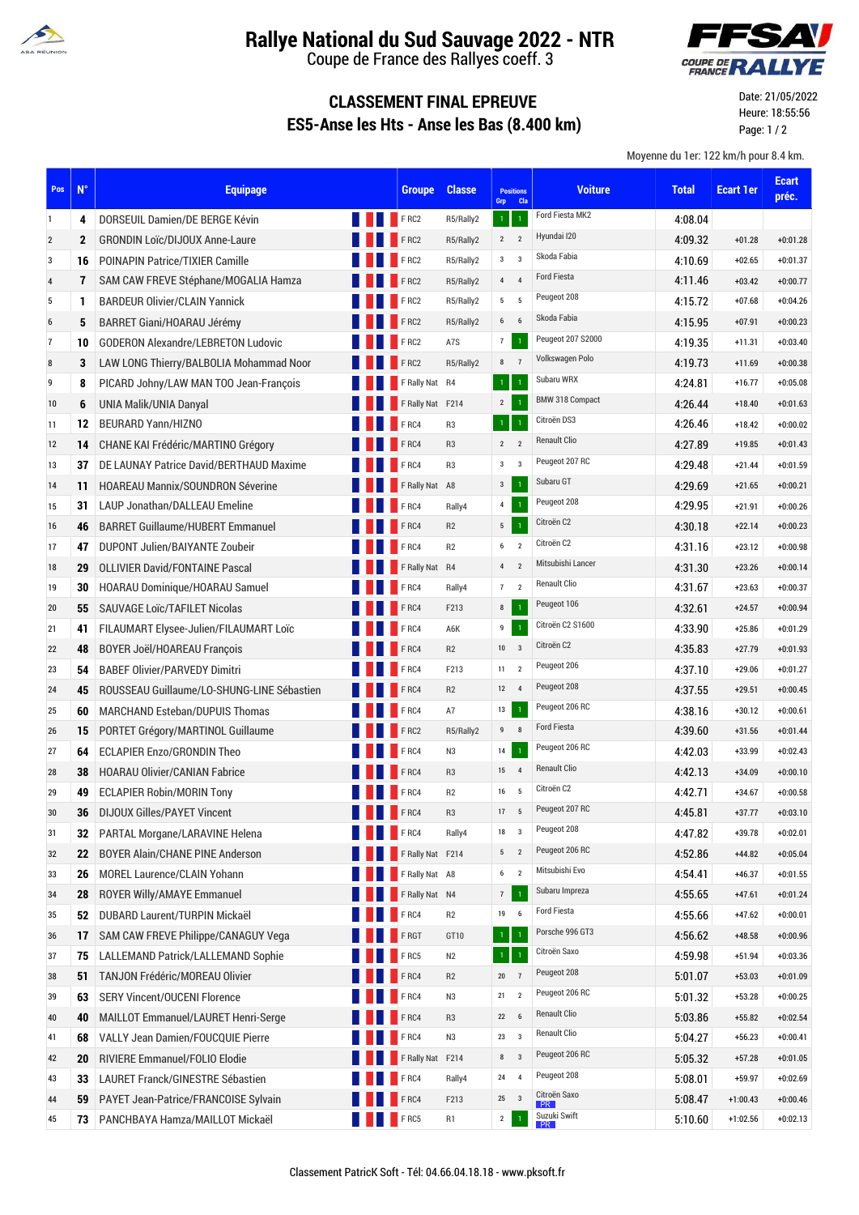

## **Rallye National du Sud Sauvage 2022 - NTR**

Coupe de France des Rallyes coeff. 3



## **CLASSEMENT FINAL EPREUVE ES5-Anse les Hts - Anse les Bas (8.400 km)**

Date: 21/05/2022 Heure: 18:55:56 Page: 1 / 2

Moyenne du 1er: 122 km/h pour 8.4 km.

| Pos              | $N^{\circ}$  | <b>Equipage</b>                            |             | <b>Groupe</b>    | <b>Classe</b>  | <b>Positions</b><br><b>Cla</b><br>Grp | <b>Voiture</b>         | <b>Total</b> | <b>Ecart 1er</b> | <b>Ecart</b><br>préc. |
|------------------|--------------|--------------------------------------------|-------------|------------------|----------------|---------------------------------------|------------------------|--------------|------------------|-----------------------|
| 1                | 4            | DORSEUIL Damien/DE BERGE Kévin             |             | FRC2             | R5/Rally2      | $\mathbf 1$<br>$\mathbf 1$            | Ford Fiesta MK2        | 4:08.04      |                  |                       |
| $\sqrt{2}$       | $\mathbf{2}$ | <b>GRONDIN Loïc/DIJOUX Anne-Laure</b>      |             | FRC2             | R5/Rally2      | $2^{\circ}$<br>$\overline{2}$         | Hyundai I20            | 4:09.32      | $+01.28$         | $+0:01.28$            |
| 3                | 16           | <b>POINAPIN Patrice/TIXIER Camille</b>     |             | FRC2             | R5/Rally2      | $\overline{3}$<br>$3^{\circ}$         | Skoda Fabia            | 4:10.69      | $+02.65$         | $+0:01.37$            |
| $\overline{4}$   | 7            | SAM CAW FREVE Stéphane/MOGALIA Hamza       |             | FRC2             | R5/Rally2      | $4\quad 4$                            | Ford Fiesta            | 4:11.46      | $+03.42$         | $+0:00.77$            |
| 5                | 1            | <b>BARDEUR Olivier/CLAIN Yannick</b>       |             | FRC2             | R5/Rally2      | $5\qquad 5$                           | Peugeot 208            | 4:15.72      | $+07.68$         | $+0:04.26$            |
| $\boldsymbol{6}$ | 5            | BARRET Giani/HOARAU Jérémy                 |             | FRC2             | R5/Rally2      | 6<br>$6\overline{6}$                  | Skoda Fabia            | 4:15.95      | $+07.91$         | $+0:00.23$            |
| $\overline{7}$   | 10           | <b>GODERON Alexandre/LEBRETON Ludovic</b>  |             | FRC2             | A7S            | $\mathbf 1$<br>$\overline{7}$         | Peugeot 207 S2000      | 4:19.35      | $+11.31$         | $+0:03.40$            |
| $\bf 8$          | 3            | LAW LONG Thierry/BALBOLIA Mohammad Noor    |             | FRC2             | R5/Rally2      | 8<br>$\overline{7}$                   | Volkswagen Polo        | 4:19.73      | $+11.69$         | $+0:00.38$            |
| 9                | 8            | PICARD Johny/LAW MAN TOO Jean-François     |             | F Rally Nat R4   |                | $\,1\,$<br>$\mathbf{I}$               | Subaru WRX             | 4:24.81      | $+16.77$         | $+0:05.08$            |
| 10               | 6            | UNIA Malik/UNIA Danyal                     |             | F Rally Nat F214 |                | $\mathbf 1$<br>$2^{\circ}$            | <b>BMW 318 Compact</b> | 4:26.44      | $+18.40$         | $+0:01.63$            |
| 11               | 12           | <b>BEURARD Yann/HIZNO</b>                  |             | <b>FRC4</b>      | R <sub>3</sub> | $\mathbf 1$<br>$1^{\circ}$            | Citroën DS3            | 4:26.46      | $+18.42$         | $+0:00.02$            |
| 12               | 14           | CHANE KAI Frédéric/MARTINO Grégory         |             | <b>FRC4</b>      | R <sub>3</sub> | $2 \quad 2$                           | <b>Renault Clio</b>    | 4:27.89      | $+19.85$         | $+0:01.43$            |
| 13               | 37           | DE LAUNAY Patrice David/BERTHAUD Maxime    |             | F <sub>RC4</sub> | R <sub>3</sub> | $\mathbf{3}$<br>$\overline{3}$        | Peugeot 207 RC         | 4:29.48      | $+21.44$         | $+0:01.59$            |
| 14               | 11           | <b>HOAREAU Mannix/SOUNDRON Séverine</b>    |             | F Rally Nat A8   |                | $\mathbf{3}$<br>$\mathbf{1}$          | Subaru GT              | 4:29.69      | $+21.65$         | $+0:00.21$            |
| 15               | 31           | <b>LAUP Jonathan/DALLEAU Emeline</b>       |             | FRC4             | Rally4         | $\overline{4}$<br>$\mathbf{1}$        | Peugeot 208            | 4:29.95      | $+21.91$         | $+0:00.26$            |
| 16               | 46           | <b>BARRET Guillaume/HUBERT Emmanuel</b>    |             | <b>FRC4</b>      | R2             | 5 <sub>5</sub><br>$\,1\,$             | Citroën C2             | 4:30.18      | $+22.14$         | $+0:00.23$            |
| 17               | 47           | DUPONT Julien/BAIYANTE Zoubeir             |             | <b>FRC4</b>      | R2             | $\overline{2}$<br>$\,6\,$             | Citroën C2             | 4.31.16      | $+23.12$         | $+0:00.98$            |
| 18               | 29           | <b>OLLIVIER David/FONTAINE Pascal</b>      |             | FRally Nat R4    |                | $\overline{2}$<br>$\overline{4}$      | Mitsubishi Lancer      | 4:31.30      | $+23.26$         | $+0:00.14$            |
| 19               | 30           | HOARAU Dominique/HOARAU Samuel             |             | F <sub>RC4</sub> | Rally4         | $7\quad 2$                            | Renault Clio           | 4:31.67      | $+23.63$         | $+0:00.37$            |
| 20               | 55           | SAUVAGE Loïc/TAFILET Nicolas               |             | FRC4             | F213           | $\mathbf 1$<br>8                      | Peugeot 106            | 4:32.61      | $+24.57$         | $+0:00.94$            |
| 21               | 41           | FILAUMART Elysee-Julien/FILAUMART Loïc     |             | $F$ RC4          | A6K            | $\boldsymbol{9}$<br>$\mathbf 1$       | Citroën C2 S1600       | 4.33.90      | $+25.86$         | $+0:01.29$            |
| 22               | 48           | <b>BOYER Joël/HOAREAU François</b>         |             | <b>FRC4</b>      | R2             | $10 \quad 3$                          | Citroën C2             | 4.35.83      | $+27.79$         | $+0:01.93$            |
| 23               | 54           | <b>BABEF Olivier/PARVEDY Dimitri</b>       |             | F <sub>RC4</sub> | F213           | $\overline{2}$<br>11                  | Peugeot 206            | 4:37.10      | $+29.06$         | $+0:01.27$            |
| 24               | 45           | ROUSSEAU Guillaume/LO-SHUNG-LINE Sébastien |             | FRC4             | R2             | 12<br>$\overline{4}$                  | Peugeot 208            | 4:37.55      | $+29.51$         | $+0:00.45$            |
| 25               | 60           | <b>MARCHAND Esteban/DUPUIS Thomas</b>      |             | FRC4             | A7             | $\mathbf 1$<br>13                     | Peugeot 206 RC         | 4.38.16      | $+30.12$         | $+0:00.61$            |
| 26               | 15           | PORTET Grégory/MARTINOL Guillaume          |             | FRC2             | R5/Rally2      | 9<br>8                                | <b>Ford Fiesta</b>     | 4:39.60      | $+31.56$         | $+0:01.44$            |
| 27               | 64           | <b>ECLAPIER Enzo/GRONDIN Theo</b>          |             | F <sub>RC4</sub> | N3             | $\mathbf 1$<br>14                     | Peugeot 206 RC         | 4:42.03      | +33.99           | $+0:02.43$            |
| 28               | 38           | <b>HOARAU Olivier/CANIAN Fabrice</b>       |             | F <sub>RC4</sub> | R <sub>3</sub> | $\overline{4}$<br>15                  | <b>Renault Clio</b>    | 4:42.13      | $+34.09$         | $+0:00.10$            |
| 29               | 49           | <b>ECLAPIER Robin/MORIN Tony</b>           |             | F <sub>RC4</sub> | R2             | 5<br>16                               | Citroën C2             | 4:42.71      | $+34.67$         | $+0:00.58$            |
| 30               | 36           | <b>DIJOUX Gilles/PAYET Vincent</b>         | <b>FRC4</b> |                  | R <sub>3</sub> | 17 5                                  | Peugeot 207 RC         | 4:45.81      | $+37.77$         | $+0:03.10$            |
| 31               | 32           | <b>PARTAL Morgane/LARAVINE Helena</b>      |             | <b>FRC4</b>      | Rally4         | $\overline{\mathbf{3}}$<br>18         | Peugeot 208            | 4:47.82      | $+39.78$         | $+0:02.01$            |
| 32               | 22           | <b>BOYER Alain/CHANE PINE Anderson</b>     |             | F Rally Nat F214 |                | $\overline{2}$<br>5                   | Peugeot 206 RC         | 4:52.86      | $+44.82$         | $+0:05.04$            |
| 33               | 26           | MOREL Laurence/CLAIN Yohann                |             | F Rally Nat A8   |                | $6\phantom{.0}$<br>$\overline{2}$     | Mitsubishi Evo         | 4:54.41      | $+46.37$         | $+0:01.55$            |
| 34               | 28           | ROYER Willy/AMAYE Emmanuel                 |             | F Rally Nat N4   |                | 7<br>$\mathbf 1$                      | Subaru Impreza         | 4:55.65      | $+47.61$         | $+0:01.24$            |
| 35               | 52           | DUBARD Laurent/TURPIN Mickaël              |             | FRC4             | R2             | 19<br>6                               | <b>Ford Fiesta</b>     | 4:55.66      | $+47.62$         | $+0:00.01$            |
| 36               | 17           | SAM CAW FREVE Philippe/CANAGUY Vega        |             | FRGT             | GT10           | $\,1\,$<br>$1^\circ$                  | Porsche 996 GT3        | 4:56.62      | $+48.58$         | $+0:00.96$            |
| 37               | 75           | LALLEMAND Patrick/LALLEMAND Sophie         |             | FRC5             | N <sub>2</sub> | $\mathbf{1}$<br>$\,1\,$               | Citroën Saxo           | 4:59.98      | $+51.94$         | $+0:03.36$            |
| 38               | 51           | TANJON Frédéric/MOREAU Olivier             |             | FRC4             | R2             | $\overline{7}$<br>$20\,$              | Peugeot 208            | 5:01.07      | $+53.03$         | $+0:01.09$            |
| 39               | 63           | <b>SERY Vincent/OUCENI Florence</b>        |             | FRC4             | N3             | $\overline{2}$<br>21                  | Peugeot 206 RC         | 5:01.32      | $+53.28$         | $+0:00.25$            |
| 40               | 40           | MAILLOT Emmanuel/LAURET Henri-Serge        |             | FRC4             | R <sub>3</sub> | 22<br>6                               | <b>Renault Clio</b>    | 5:03.86      | $+55.82$         | $+0:02.54$            |
| 41               | 68           | <b>VALLY Jean Damien/FOUCQUIE Pierre</b>   |             | FRC4             | N3             | $\overline{\mathbf{3}}$<br>23         | Renault Clio           | 5:04.27      | $+56.23$         | $+0:00.41$            |
| 42               | 20           | RIVIERE Emmanuel/FOLIO Elodie              |             | F Rally Nat F214 |                | $\overline{3}$<br>$\bf8$              | Peugeot 206 RC         | 5:05.32      | $+57.28$         | $+0:01.05$            |
| 43               | 33           | LAURET Franck/GINESTRE Sébastien           |             | FRC4             | Rally4         | $\overline{4}$<br>24                  | Peugeot 208            | 5:08.01      | $+59.97$         | $+0:02.69$            |
| 44               | 59           | PAYET Jean-Patrice/FRANCOISE Sylvain       |             | FRC4             | F213           | $\overline{\mathbf{3}}$<br>25         | Citroën Saxo<br>PR :   | 5:08.47      | $+1:00.43$       | $+0:00.46$            |
| 45               | 73           | PANCHBAYA Hamza/MAILLOT Mickaël            |             | FRC5             | R1             | $\overline{2}$<br>$\mathbf 1$         | Suzuki Swift           | 5:10.60      | $+1:02.56$       | $+0:02.13$            |